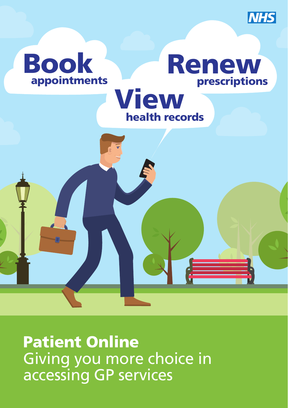



Patient Online Giving you more choice in accessing GP services